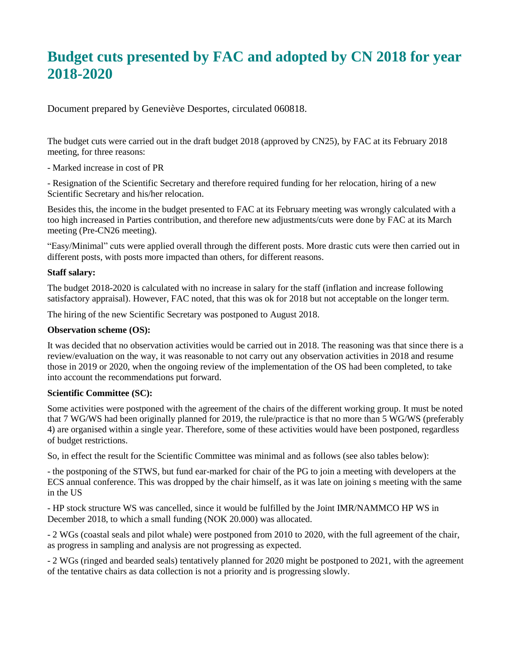# **Budget cuts presented by FAC and adopted by CN 2018 for year 2018-2020**

Document prepared by Geneviève Desportes, circulated 060818.

The budget cuts were carried out in the draft budget 2018 (approved by CN25), by FAC at its February 2018 meeting, for three reasons:

- Marked increase in cost of PR

- Resignation of the Scientific Secretary and therefore required funding for her relocation, hiring of a new Scientific Secretary and his/her relocation.

Besides this, the income in the budget presented to FAC at its February meeting was wrongly calculated with a too high increased in Parties contribution, and therefore new adjustments/cuts were done by FAC at its March meeting (Pre-CN26 meeting).

"Easy/Minimal" cuts were applied overall through the different posts. More drastic cuts were then carried out in different posts, with posts more impacted than others, for different reasons.

## **Staff salary:**

The budget 2018-2020 is calculated with no increase in salary for the staff (inflation and increase following satisfactory appraisal). However, FAC noted, that this was ok for 2018 but not acceptable on the longer term.

The hiring of the new Scientific Secretary was postponed to August 2018.

### **Observation scheme (OS):**

It was decided that no observation activities would be carried out in 2018. The reasoning was that since there is a review/evaluation on the way, it was reasonable to not carry out any observation activities in 2018 and resume those in 2019 or 2020, when the ongoing review of the implementation of the OS had been completed, to take into account the recommendations put forward.

#### **Scientific Committee (SC):**

Some activities were postponed with the agreement of the chairs of the different working group. It must be noted that 7 WG/WS had been originally planned for 2019, the rule/practice is that no more than 5 WG/WS (preferably 4) are organised within a single year. Therefore, some of these activities would have been postponed, regardless of budget restrictions.

So, in effect the result for the Scientific Committee was minimal and as follows (see also tables below):

- the postponing of the STWS, but fund ear-marked for chair of the PG to join a meeting with developers at the ECS annual conference. This was dropped by the chair himself, as it was late on joining s meeting with the same in the US

- HP stock structure WS was cancelled, since it would be fulfilled by the Joint IMR/NAMMCO HP WS in December 2018, to which a small funding (NOK 20.000) was allocated.

- 2 WGs (coastal seals and pilot whale) were postponed from 2010 to 2020, with the full agreement of the chair, as progress in sampling and analysis are not progressing as expected.

- 2 WGs (ringed and bearded seals) tentatively planned for 2020 might be postponed to 2021, with the agreement of the tentative chairs as data collection is not a priority and is progressing slowly.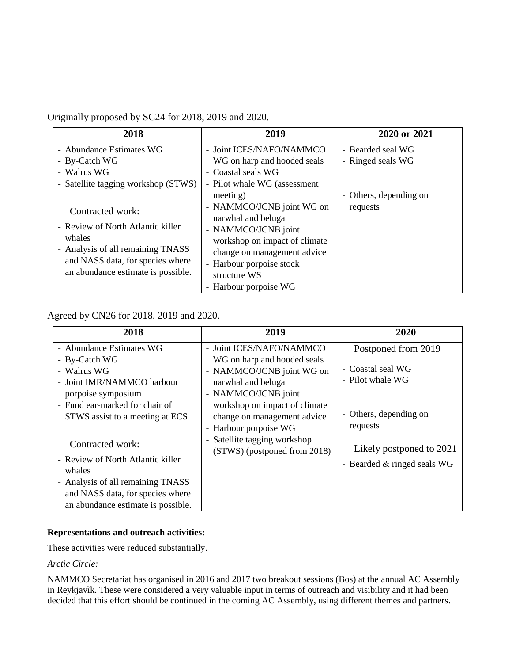# Originally proposed by SC24 for 2018, 2019 and 2020.

| 2018                                                                                                                                                                           | 2019                                                                                                                                                                                                        | 2020 or 2021           |
|--------------------------------------------------------------------------------------------------------------------------------------------------------------------------------|-------------------------------------------------------------------------------------------------------------------------------------------------------------------------------------------------------------|------------------------|
| - Abundance Estimates WG                                                                                                                                                       | - Joint ICES/NAFO/NAMMCO                                                                                                                                                                                    | - Bearded seal WG      |
| - By-Catch WG                                                                                                                                                                  | WG on harp and hooded seals                                                                                                                                                                                 | - Ringed seals WG      |
| - Walrus WG                                                                                                                                                                    | - Coastal seals WG                                                                                                                                                                                          |                        |
| - Satellite tagging workshop (STWS)                                                                                                                                            | - Pilot whale WG (assessment)                                                                                                                                                                               |                        |
|                                                                                                                                                                                | meeting)                                                                                                                                                                                                    | - Others, depending on |
| Contracted work:<br>- Review of North Atlantic killer<br>whales<br>- Analysis of all remaining TNASS<br>and NASS data, for species where<br>an abundance estimate is possible. | - NAMMCO/JCNB joint WG on<br>narwhal and beluga<br>- NAMMCO/JCNB joint<br>workshop on impact of climate<br>change on management advice<br>- Harbour porpoise stock<br>structure WS<br>- Harbour porpoise WG | requests               |

## Agreed by CN26 for 2018, 2019 and 2020.

| 2018                                                                                                                                                                              | 2019                                                                                                                                                                                                                                                                                       | 2020                                                                                   |
|-----------------------------------------------------------------------------------------------------------------------------------------------------------------------------------|--------------------------------------------------------------------------------------------------------------------------------------------------------------------------------------------------------------------------------------------------------------------------------------------|----------------------------------------------------------------------------------------|
| - Abundance Estimates WG<br>- By-Catch WG<br>- Walrus WG<br>- Joint IMR/NAMMCO harbour<br>porpoise symposium<br>- Fund ear-marked for chair of<br>STWS assist to a meeting at ECS | - Joint ICES/NAFO/NAMMCO<br>WG on harp and hooded seals<br>- NAMMCO/JCNB joint WG on<br>narwhal and beluga<br>- NAMMCO/JCNB joint<br>workshop on impact of climate<br>change on management advice<br>- Harbour porpoise WG<br>- Satellite tagging workshop<br>(STWS) (postponed from 2018) | Postponed from 2019<br>- Coastal seal WG<br>- Pilot whale WG<br>- Others, depending on |
| Contracted work:<br>- Review of North Atlantic killer<br>whales<br>- Analysis of all remaining TNASS<br>and NASS data, for species where<br>an abundance estimate is possible.    |                                                                                                                                                                                                                                                                                            | requests<br>Likely postponed to 2021<br>- Bearded & ringed seals WG                    |

## **Representations and outreach activities:**

These activities were reduced substantially.

## *Arctic Circle:*

NAMMCO Secretariat has organised in 2016 and 2017 two breakout sessions (Bos) at the annual AC Assembly in Reykjavìk. These were considered a very valuable input in terms of outreach and visibility and it had been decided that this effort should be continued in the coming AC Assembly, using different themes and partners.